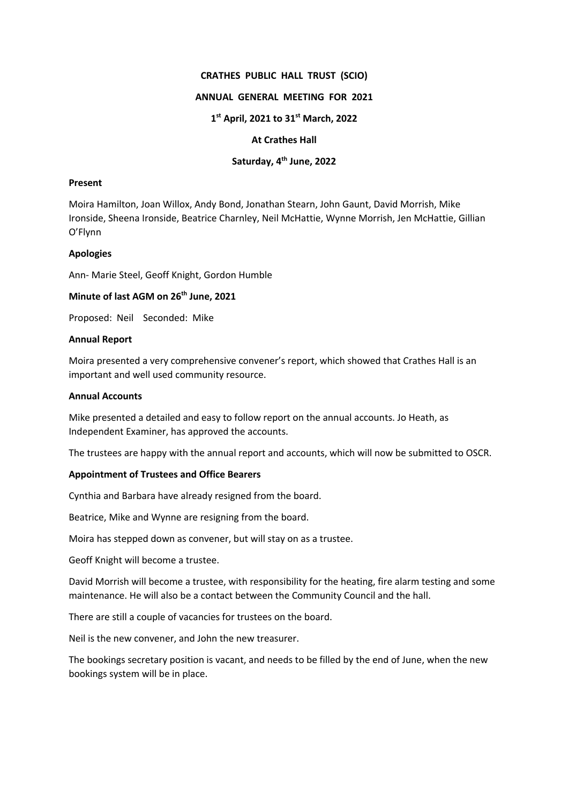## **CRATHES PUBLIC HALL TRUST (SCIO)**

### **ANNUAL GENERAL MEETING FOR 2021**

### **1st April, 2021 to 31st March, 2022**

## **At Crathes Hall**

# **Saturday, 4th June, 2022**

## **Present**

Moira Hamilton, Joan Willox, Andy Bond, Jonathan Stearn, John Gaunt, David Morrish, Mike Ironside, Sheena Ironside, Beatrice Charnley, Neil McHattie, Wynne Morrish, Jen McHattie, Gillian O'Flynn

#### **Apologies**

Ann- Marie Steel, Geoff Knight, Gordon Humble

# **Minute of last AGM on 26<sup>th</sup> June, 2021**

Proposed: Neil Seconded: Mike

#### **Annual Report**

Moira presented a very comprehensive convener's report, which showed that Crathes Hall is an important and well used community resource.

## **Annual Accounts**

Mike presented a detailed and easy to follow report on the annual accounts. Jo Heath, as Independent Examiner, has approved the accounts.

The trustees are happy with the annual report and accounts, which will now be submitted to OSCR.

## **Appointment of Trustees and Office Bearers**

Cynthia and Barbara have already resigned from the board.

Beatrice, Mike and Wynne are resigning from the board.

Moira has stepped down as convener, but will stay on as a trustee.

Geoff Knight will become a trustee.

David Morrish will become a trustee, with responsibility for the heating, fire alarm testing and some maintenance. He will also be a contact between the Community Council and the hall.

There are still a couple of vacancies for trustees on the board.

Neil is the new convener, and John the new treasurer.

The bookings secretary position is vacant, and needs to be filled by the end of June, when the new bookings system will be in place.